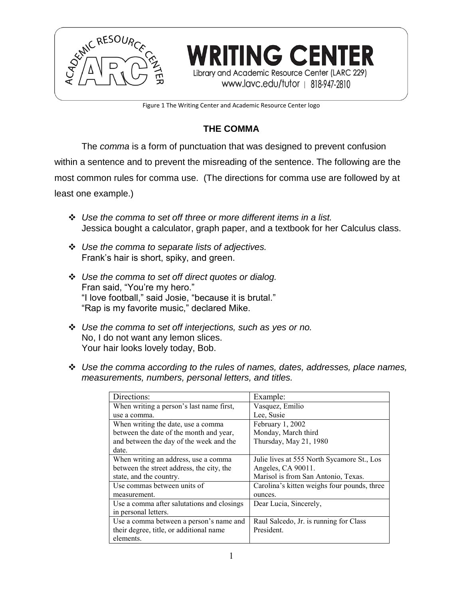

Figure 1 The Writing Center and Academic Resource Center logo

**WRITING CENTER** 

Library and Academic Resource Center (LARC 229) www.lavc.edu/tutor | 818-947-2810

# **THE COMMA**

The *comma* is a form of punctuation that was designed to prevent confusion within a sentence and to prevent the misreading of the sentence. The following are the most common rules for comma use. (The directions for comma use are followed by at least one example.)

- *Use the comma to set off three or more different items in a list.* Jessica bought a calculator, graph paper, and a textbook for her Calculus class.
- *Use the comma to separate lists of adjectives.* Frank's hair is short, spiky, and green.
- *Use the comma to set off direct quotes or dialog.* Fran said, "You're my hero." "I love football," said Josie, "because it is brutal." "Rap is my favorite music," declared Mike.
- *Use the comma to set off interjections, such as yes or no.* No, I do not want any lemon slices. Your hair looks lovely today, Bob.
- *Use the comma according to the rules of names, dates, addresses, place names, measurements, numbers, personal letters, and titles.*

| Directions:                                | Example:                                    |
|--------------------------------------------|---------------------------------------------|
| When writing a person's last name first,   | Vasquez, Emilio                             |
| use a comma.                               | Lee, Susie                                  |
| When writing the date, use a comma         | February 1, 2002                            |
| between the date of the month and year,    | Monday, March third                         |
| and between the day of the week and the    | Thursday, May 21, 1980                      |
| date.                                      |                                             |
| When writing an address, use a comma       | Julie lives at 555 North Sycamore St., Los  |
| between the street address, the city, the  | Angeles, CA 90011.                          |
| state, and the country.                    | Marisol is from San Antonio, Texas.         |
| Use commas between units of                | Carolina's kitten weighs four pounds, three |
| measurement.                               | ounces.                                     |
| Use a comma after salutations and closings | Dear Lucia, Sincerely,                      |
| in personal letters.                       |                                             |
| Use a comma between a person's name and    | Raul Salcedo, Jr. is running for Class      |
| their degree, title, or additional name    | President.                                  |
| elements.                                  |                                             |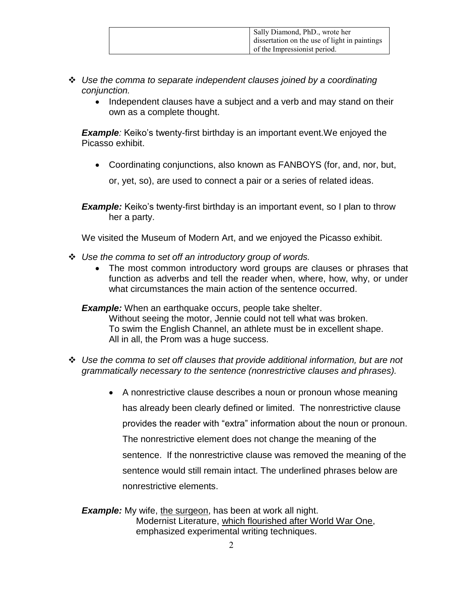| Sally Diamond, PhD., wrote her<br>dissertation on the use of light in paintings |
|---------------------------------------------------------------------------------|
| of the Impressionist period.                                                    |

- *Use the comma to separate independent clauses joined by a coordinating conjunction.*
	- Independent clauses have a subject and a verb and may stand on their own as a complete thought.

*Example:* Keiko's twenty-first birthday is an important event. We enjoyed the Picasso exhibit.

Coordinating conjunctions, also known as FANBOYS (for, and, nor, but,

or, yet, so), are used to connect a pair or a series of related ideas.

**Example:** Keiko's twenty-first birthday is an important event, so I plan to throw her a party.

We visited the Museum of Modern Art, and we enjoyed the Picasso exhibit.

- *Use the comma to set off an introductory group of words.*
	- The most common introductory word groups are clauses or phrases that function as adverbs and tell the reader when, where, how, why, or under what circumstances the main action of the sentence occurred.

*Example:* When an earthquake occurs, people take shelter. Without seeing the motor, Jennie could not tell what was broken. To swim the English Channel, an athlete must be in excellent shape. All in all, the Prom was a huge success.

- *Use the comma to set off clauses that provide additional information, but are not grammatically necessary to the sentence (nonrestrictive clauses and phrases).*
	- A nonrestrictive clause describes a noun or pronoun whose meaning has already been clearly defined or limited. The nonrestrictive clause provides the reader with "extra" information about the noun or pronoun. The nonrestrictive element does not change the meaning of the sentence. If the nonrestrictive clause was removed the meaning of the sentence would still remain intact. The underlined phrases below are nonrestrictive elements.

**Example:** My wife, the surgeon, has been at work all night. Modernist Literature, which flourished after World War One, emphasized experimental writing techniques.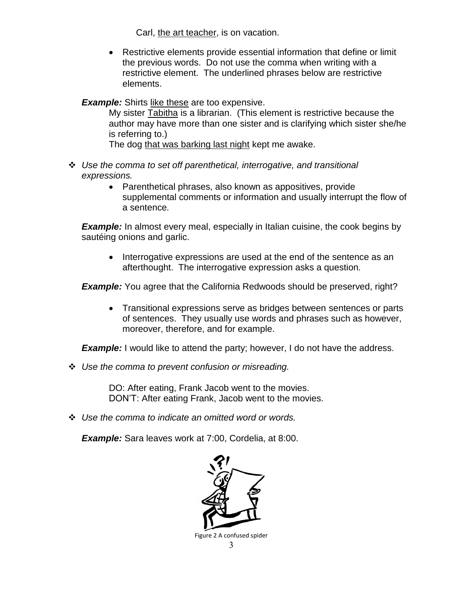Carl, the art teacher, is on vacation.

 Restrictive elements provide essential information that define or limit the previous words. Do not use the comma when writing with a restrictive element. The underlined phrases below are restrictive elements.

### *Example:* Shirts like these are too expensive.

My sister Tabitha is a librarian. (This element is restrictive because the author may have more than one sister and is clarifying which sister she/he is referring to.)

The dog that was barking last night kept me awake.

- *Use the comma to set off parenthetical, interrogative, and transitional expressions.*
	- Parenthetical phrases, also known as appositives, provide supplemental comments or information and usually interrupt the flow of a sentence*.*

**Example:** In almost every meal, especially in Italian cuisine, the cook begins by sautéing onions and garlic.

• Interrogative expressions are used at the end of the sentence as an afterthought. The interrogative expression asks a question*.*

**Example:** You agree that the California Redwoods should be preserved, right?

• Transitional expressions serve as bridges between sentences or parts of sentences. They usually use words and phrases such as however, moreover, therefore, and for example.

**Example:** I would like to attend the party; however, I do not have the address.

*Use the comma to prevent confusion or misreading.*

DO: After eating, Frank Jacob went to the movies. DON'T: After eating Frank, Jacob went to the movies.

*Use the comma to indicate an omitted word or words.*

*Example:* Sara leaves work at 7:00, Cordelia, at 8:00.

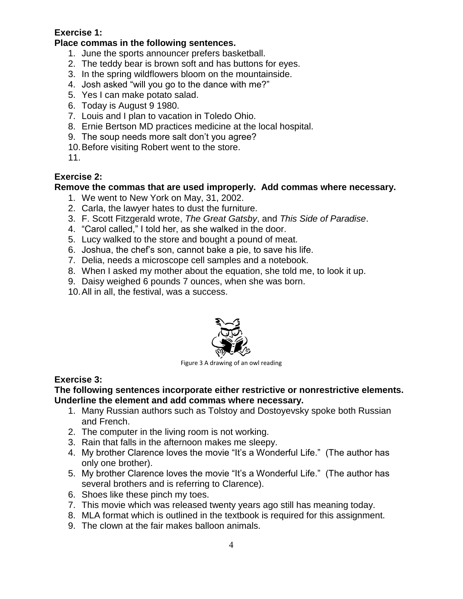# **Exercise 1:**

## **Place commas in the following sentences.**

- 1. June the sports announcer prefers basketball.
- 2. The teddy bear is brown soft and has buttons for eyes.
- 3. In the spring wildflowers bloom on the mountainside.
- 4. Josh asked "will you go to the dance with me?"
- 5. Yes I can make potato salad.
- 6. Today is August 9 1980.
- 7. Louis and I plan to vacation in Toledo Ohio.
- 8. Ernie Bertson MD practices medicine at the local hospital.
- 9. The soup needs more salt don't you agree?
- 10.Before visiting Robert went to the store.

11.

## **Exercise 2:**

## **Remove the commas that are used improperly. Add commas where necessary.**

- 1. We went to New York on May, 31, 2002.
- 2. Carla, the lawyer hates to dust the furniture.
- 3. F. Scott Fitzgerald wrote, *The Great Gatsby*, and *This Side of Paradise*.
- 4. "Carol called," I told her, as she walked in the door.
- 5. Lucy walked to the store and bought a pound of meat.
- 6. Joshua, the chef's son, cannot bake a pie, to save his life.
- 7. Delia, needs a microscope cell samples and a notebook.
- 8. When I asked my mother about the equation, she told me, to look it up.
- 9. Daisy weighed 6 pounds 7 ounces, when she was born.
- 10.All in all, the festival, was a success.



Figure 3 A drawing of an owl reading

# **Exercise 3:**

### **The following sentences incorporate either restrictive or nonrestrictive elements. Underline the element and add commas where necessary.**

- 1. Many Russian authors such as Tolstoy and Dostoyevsky spoke both Russian and French.
- 2. The computer in the living room is not working.
- 3. Rain that falls in the afternoon makes me sleepy.
- 4. My brother Clarence loves the movie "It's a Wonderful Life." (The author has only one brother).
- 5. My brother Clarence loves the movie "It's a Wonderful Life." (The author has several brothers and is referring to Clarence).
- 6. Shoes like these pinch my toes.
- 7. This movie which was released twenty years ago still has meaning today.
- 8. MLA format which is outlined in the textbook is required for this assignment.
- 9. The clown at the fair makes balloon animals.